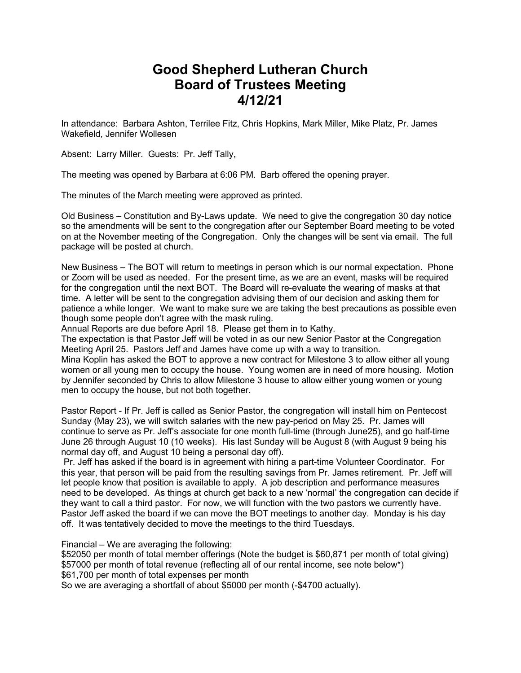## **Good Shepherd Lutheran Church Board of Trustees Meeting 4/12/21**

In attendance: Barbara Ashton, Terrilee Fitz, Chris Hopkins, Mark Miller, Mike Platz, Pr. James Wakefield, Jennifer Wollesen

Absent: Larry Miller. Guests: Pr. Jeff Tally,

The meeting was opened by Barbara at 6:06 PM. Barb offered the opening prayer.

The minutes of the March meeting were approved as printed.

Old Business – Constitution and By-Laws update. We need to give the congregation 30 day notice so the amendments will be sent to the congregation after our September Board meeting to be voted on at the November meeting of the Congregation. Only the changes will be sent via email. The full package will be posted at church.

New Business – The BOT will return to meetings in person which is our normal expectation. Phone or Zoom will be used as needed. For the present time, as we are an event, masks will be required for the congregation until the next BOT. The Board will re-evaluate the wearing of masks at that time. A letter will be sent to the congregation advising them of our decision and asking them for patience a while longer. We want to make sure we are taking the best precautions as possible even though some people don't agree with the mask ruling.

Annual Reports are due before April 18. Please get them in to Kathy.

The expectation is that Pastor Jeff will be voted in as our new Senior Pastor at the Congregation Meeting April 25. Pastors Jeff and James have come up with a way to transition.

Mina Koplin has asked the BOT to approve a new contract for Milestone 3 to allow either all young women or all young men to occupy the house. Young women are in need of more housing. Motion by Jennifer seconded by Chris to allow Milestone 3 house to allow either young women or young men to occupy the house, but not both together.

Pastor Report - If Pr. Jeff is called as Senior Pastor, the congregation will install him on Pentecost Sunday (May 23), we will switch salaries with the new pay-period on May 25. Pr. James will continue to serve as Pr. Jeff's associate for one month full-time (through June25), and go half-time June 26 through August 10 (10 weeks). His last Sunday will be August 8 (with August 9 being his normal day off, and August 10 being a personal day off).

Pr. Jeff has asked if the board is in agreement with hiring a part-time Volunteer Coordinator. For this year, that person will be paid from the resulting savings from Pr. James retirement. Pr. Jeff will let people know that position is available to apply. A job description and performance measures need to be developed. As things at church get back to a new 'normal' the congregation can decide if they want to call a third pastor. For now, we will function with the two pastors we currently have. Pastor Jeff asked the board if we can move the BOT meetings to another day. Monday is his day off. It was tentatively decided to move the meetings to the third Tuesdays.

Financial – We are averaging the following:

\$52050 per month of total member offerings (Note the budget is \$60,871 per month of total giving) \$57000 per month of total revenue (reflecting all of our rental income, see note below\*) \$61,700 per month of total expenses per month

So we are averaging a shortfall of about \$5000 per month (-\$4700 actually).